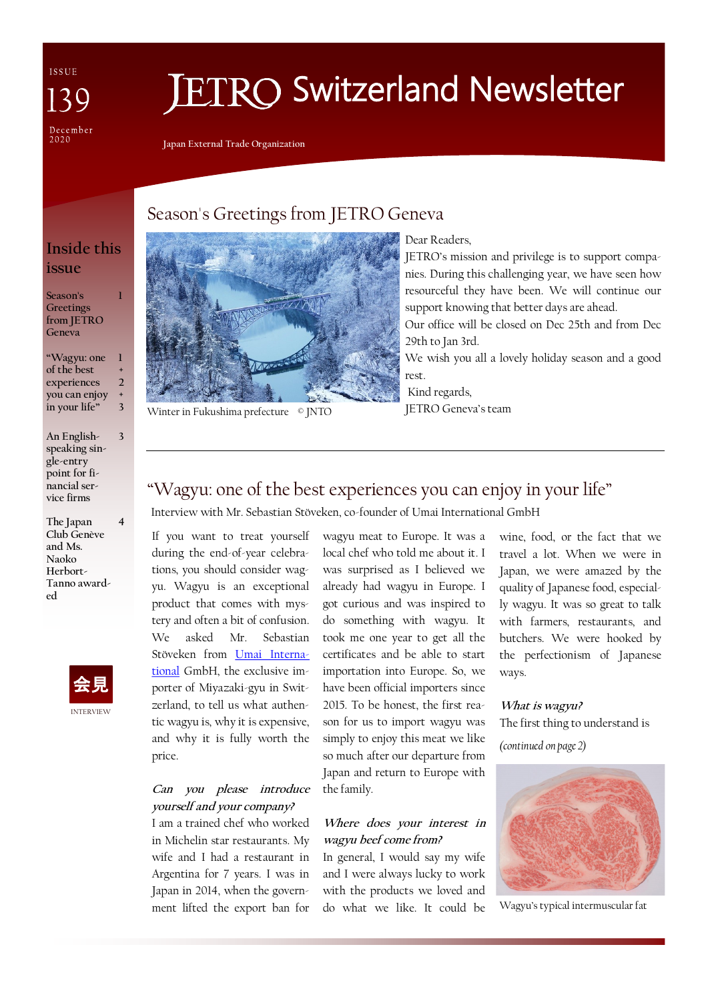ISSUE 3 Q December<br>2020

# **ETRO Switzerland Newsletter**

**Japan External Trade Organization**

# Season's Greetings from JETRO Geneva

## **Inside this issue**

**1**

**3**

| Season's   |  |
|------------|--|
| Greetings  |  |
| from JETRO |  |
| Geneva     |  |

| "Wagyu: one   | н         |
|---------------|-----------|
| of the best   | $\ddot{}$ |
| experiences   | 7         |
| you can enjoy | $\ddot{}$ |
| in your life" | 3         |

**An Englishspeaking single-entry point for financial service firms** 

**The Japan Club Genève and Ms. Naoko Herbort-Tanno awarded 4**





Winter in Fukushima prefecture © JNTO

Dear Readers,

JETRO's mission and privilege is to support companies. During this challenging year, we have seen how resourceful they have been. We will continue our support knowing that better days are ahead.

Our office will be closed on Dec 25th and from Dec 29th to Jan 3rd.

We wish you all a lovely holiday season and a good rest.

Kind regards,

JETRO Geneva's team

# "Wagyu: one of the best experiences you can enjoy in your life"

Interview with Mr. Sebastian Stöveken, co-founder of Umai International GmbH

If you want to treat yourself during the end-of-year celebrations, you should consider wagyu. Wagyu is an exceptional product that comes with mystery and often a bit of confusion. We asked Mr. Sebastian Stöveken from [Umai Interna](https://www.umaiwagyu.com/de/)[tional](https://www.umaiwagyu.com/de/) GmbH, the exclusive importer of Miyazaki-gyu in Switzerland, to tell us what authentic wagyu is, why it is expensive, and why it is fully worth the price.

#### **Can you please introduce yourself and your company?**

I am a trained chef who worked in Michelin star restaurants. My wife and I had a restaurant in Argentina for 7 years. I was in Japan in 2014, when the government lifted the export ban for

wagyu meat to Europe. It was a local chef who told me about it. I was surprised as I believed we already had wagyu in Europe. I got curious and was inspired to do something with wagyu. It took me one year to get all the certificates and be able to start importation into Europe. So, we have been official importers since 2015. To be honest, the first reason for us to import wagyu was simply to enjoy this meat we like so much after our departure from Japan and return to Europe with the family.

#### **Where does your interest in wagyu beef come from?**

In general, I would say my wife and I were always lucky to work with the products we loved and do what we like. It could be

wine, food, or the fact that we travel a lot. When we were in Japan, we were amazed by the quality of Japanese food, especially wagyu. It was so great to talk with farmers, restaurants, and butchers. We were hooked by the perfectionism of Japanese ways.

**What is wagyu?**  The first thing to understand is *(continued on page 2)*

Wagyu's typical intermuscular fat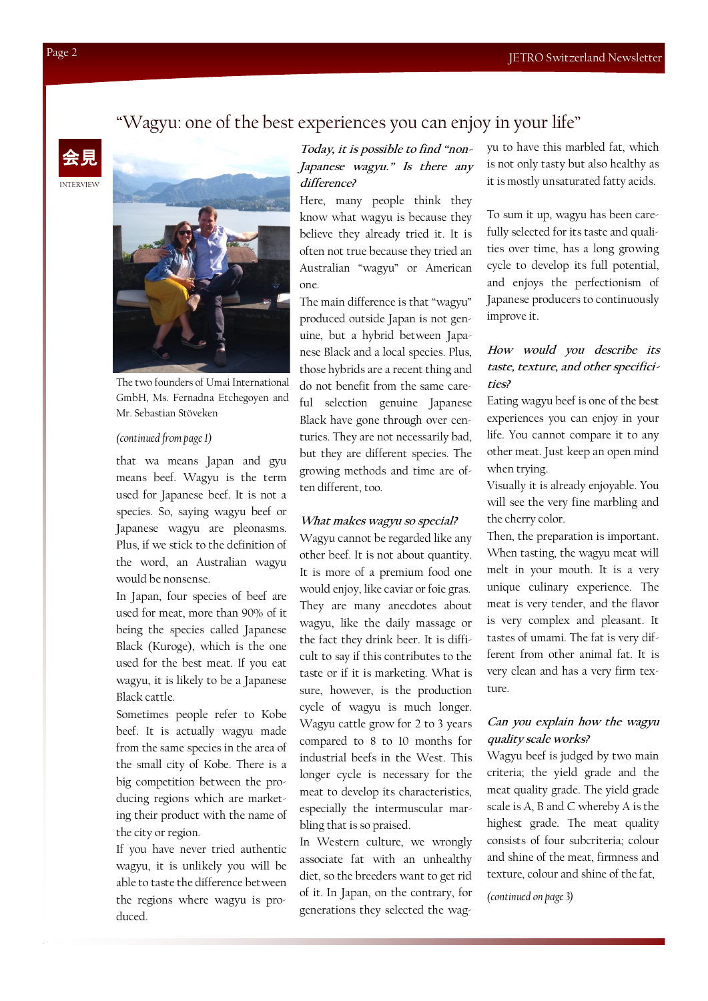## "Wagyu: one of the best experiences you can enjoy in your life"





The two founders of Umai International GmbH, Ms. Fernadna Etchegoyen and Mr. Sebastian Stöveken

#### *(continued from page 1)*

that wa means Japan and gyu means beef. Wagyu is the term used for Japanese beef. It is not a species. So, saying wagyu beef or Japanese wagyu are pleonasms. Plus, if we stick to the definition of the word, an Australian wagyu would be nonsense.

In Japan, four species of beef are used for meat, more than 90% of it being the species called Japanese Black (Kuroge), which is the one used for the best meat. If you eat wagyu, it is likely to be a Japanese Black cattle.

Sometimes people refer to Kobe beef. It is actually wagyu made from the same species in the area of the small city of Kobe. There is a big competition between the producing regions which are marketing their product with the name of the city or region.

If you have never tried authentic wagyu, it is unlikely you will be able to taste the difference between the regions where wagyu is produced.

#### **Today, it is possible to find "non-Japanese wagyu." Is there any difference?**

Here, many people think they know what wagyu is because they believe they already tried it. It is often not true because they tried an Australian "wagyu" or American one.

The main difference is that "wagyu" produced outside Japan is not genuine, but a hybrid between Japanese Black and a local species. Plus, those hybrids are a recent thing and do not benefit from the same careful selection genuine Japanese Black have gone through over centuries. They are not necessarily bad, but they are different species. The growing methods and time are often different, too.

#### **What makes wagyu so special?**

Wagyu cannot be regarded like any other beef. It is not about quantity. It is more of a premium food one would enjoy, like caviar or foie gras. They are many anecdotes about wagyu, like the daily massage or the fact they drink beer. It is difficult to say if this contributes to the taste or if it is marketing. What is sure, however, is the production cycle of wagyu is much longer. Wagyu cattle grow for 2 to 3 years compared to 8 to 10 months for industrial beefs in the West. This longer cycle is necessary for the meat to develop its characteristics, especially the intermuscular marbling that is so praised.

In Western culture, we wrongly associate fat with an unhealthy diet, so the breeders want to get rid of it. In Japan, on the contrary, for generations they selected the wagyu to have this marbled fat, which is not only tasty but also healthy as it is mostly unsaturated fatty acids.

To sum it up, wagyu has been carefully selected for its taste and qualities over time, has a long growing cycle to develop its full potential, and enjoys the perfectionism of Japanese producers to continuously improve it.

#### **How would you describe its taste, texture, and other specificities?**

Eating wagyu beef is one of the best experiences you can enjoy in your life. You cannot compare it to any other meat. Just keep an open mind when trying.

Visually it is already enjoyable. You will see the very fine marbling and the cherry color.

Then, the preparation is important. When tasting, the wagyu meat will melt in your mouth. It is a very unique culinary experience. The meat is very tender, and the flavor is very complex and pleasant. It tastes of umami. The fat is very different from other animal fat. It is very clean and has a very firm texture.

#### **Can you explain how the wagyu quality scale works?**

Wagyu beef is judged by two main criteria; the yield grade and the meat quality grade. The yield grade scale is A, B and C whereby A is the highest grade. The meat quality consists of four subcriteria; colour and shine of the meat, firmness and texture, colour and shine of the fat,

*(continued on page 3)*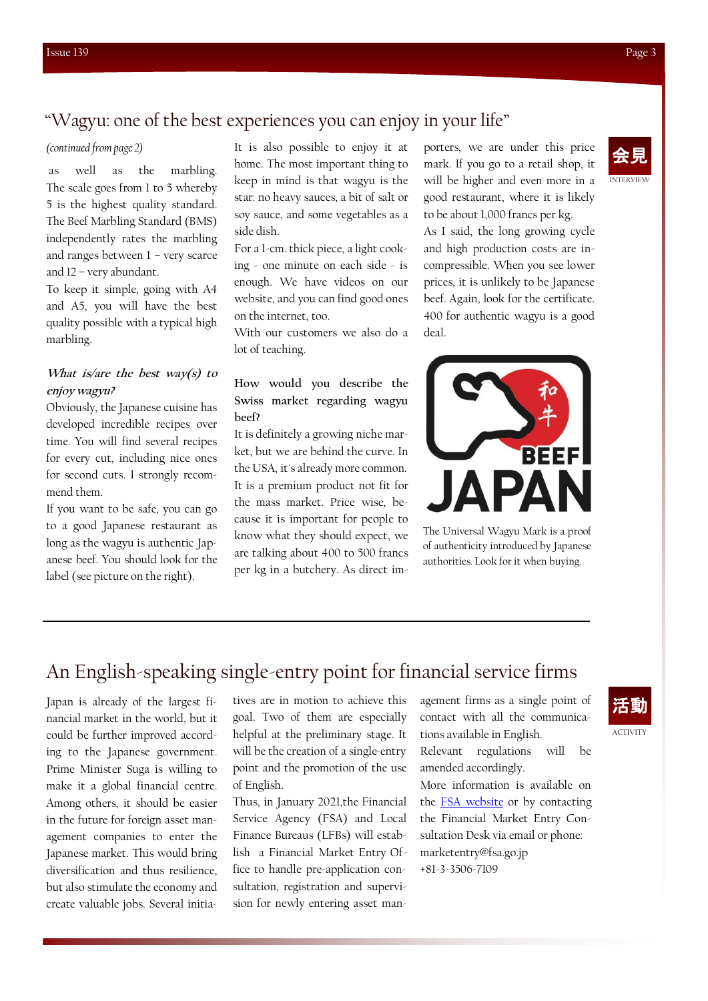## "Wagyu: one of the best experiences you can enjoy in your life"

#### *(continued from page 2)*

as well as the marbling. The scale goes from 1 to 5 whereby 5 is the highest quality standard. The Beef Marbling Standard (BMS) independently rates the marbling and ranges between 1 – very scarce and 12 – very abundant.

To keep it simple, going with A4 and A5, you will have the best quality possible with a typical high marbling.

#### **What is/are the best way(s) to enjoy wagyu?**

Obviously, the Japanese cuisine has developed incredible recipes over time. You will find several recipes for every cut, including nice ones for second cuts. I strongly recommend them.

If you want to be safe, you can go to a good Japanese restaurant as long as the wagyu is authentic Japanese beef. You should look for the label (see picture on the right).

It is also possible to enjoy it at home. The most important thing to keep in mind is that wagyu is the star: no heavy sauces, a bit of salt or soy sauce, and some vegetables as a side dish.

For a 1-cm. thick piece, a light cooking - one minute on each side - is enough. We have videos on our website, and you can find good ones on the internet, too.

With our customers we also do a lot of teaching.

#### **How would you describe the Swiss market regarding wagyu beef?**

It is definitely a growing niche market, but we are behind the curve. In the USA, it's already more common. It is a premium product not fit for the mass market. Price wise, because it is important for people to know what they should expect, we are talking about 400 to 500 francs per kg in a butchery. As direct importers, we are under this price mark. If you go to a retail shop, it will be higher and even more in a good restaurant, where it is likely to be about 1,000 francs per kg.

As I said, the long growing cycle and high production costs are incompressible. When you see lower prices, it is unlikely to be Japanese beef. Again, look for the certificate. 400 for authentic wagyu is a good deal.



The Universal Wagyu Mark is a proof of authenticity introduced by Japanese authorities. Look for it when buying.

# An English-speaking single-entry point for financial service firms

Japan is already of the largest financial market in the world, but it could be further improved according to the Japanese government. Prime Minister Suga is willing to make it a global financial centre. Among others, it should be easier in the future for foreign asset management companies to enter the Japanese market. This would bring diversification and thus resilience, but also stimulate the economy and create valuable jobs. Several initiatives are in motion to achieve this goal. Two of them are especially helpful at the preliminary stage. It will be the creation of a single-entry point and the promotion of the use of English.

Thus, in January 2021,the Financial Service Agency (FSA) and Local Finance Bureaus (LFBs) will establish a Financial Market Entry Office to handle pre-application consultation, registration and supervision for newly entering asset management firms as a single point of contact with all the communications available in English.

Relevant regulations will be amended accordingly.

More information is available on the [FSA website](https://www.fsa.go.jp/en/news/2020/20201106-2/20201106.html) or by contacting the Financial Market Entry Consultation Desk via email or phone: marketentry@fsa.go.jp +81-3-3506-7109



ACTIVITY

**INTERVIEW** 会見